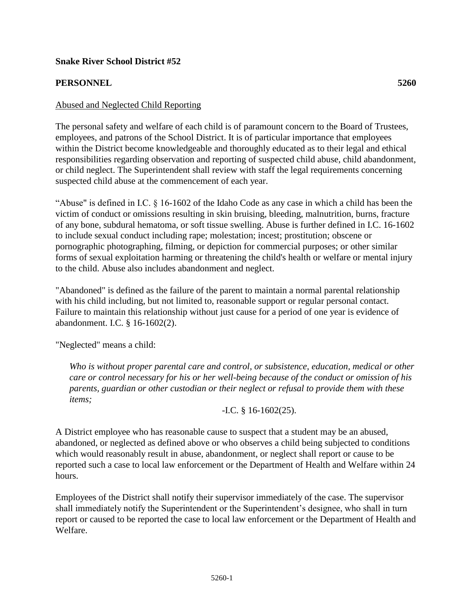## **Snake River School District #52**

## **PERSONNEL 5260**

## Abused and Neglected Child Reporting

The personal safety and welfare of each child is of paramount concern to the Board of Trustees, employees, and patrons of the School District. It is of particular importance that employees within the District become knowledgeable and thoroughly educated as to their legal and ethical responsibilities regarding observation and reporting of suspected child abuse, child abandonment, or child neglect. The Superintendent shall review with staff the legal requirements concerning suspected child abuse at the commencement of each year.

"Abuse" is defined in I.C. § 16-1602 of the Idaho Code as any case in which a child has been the victim of conduct or omissions resulting in skin bruising, bleeding, malnutrition, burns, fracture of any bone, subdural hematoma, or soft tissue swelling. Abuse is further defined in I.C. 16-1602 to include sexual conduct including rape; molestation; incest; prostitution; obscene or pornographic photographing, filming, or depiction for commercial purposes; or other similar forms of sexual exploitation harming or threatening the child's health or welfare or mental injury to the child. Abuse also includes abandonment and neglect.

"Abandoned" is defined as the failure of the parent to maintain a normal parental relationship with his child including, but not limited to, reasonable support or regular personal contact. Failure to maintain this relationship without just cause for a period of one year is evidence of abandonment. I.C. § 16-1602(2).

"Neglected" means a child:

*Who is without proper parental care and control, or subsistence, education, medical or other care or control necessary for his or her well-being because of the conduct or omission of his parents, guardian or other custodian or their neglect or refusal to provide them with these items;*

-I.C. § 16-1602(25).

A District employee who has reasonable cause to suspect that a student may be an abused, abandoned, or neglected as defined above or who observes a child being subjected to conditions which would reasonably result in abuse, abandonment, or neglect shall report or cause to be reported such a case to local law enforcement or the Department of Health and Welfare within 24 hours.

Employees of the District shall notify their supervisor immediately of the case. The supervisor shall immediately notify the Superintendent or the Superintendent's designee, who shall in turn report or caused to be reported the case to local law enforcement or the Department of Health and Welfare.